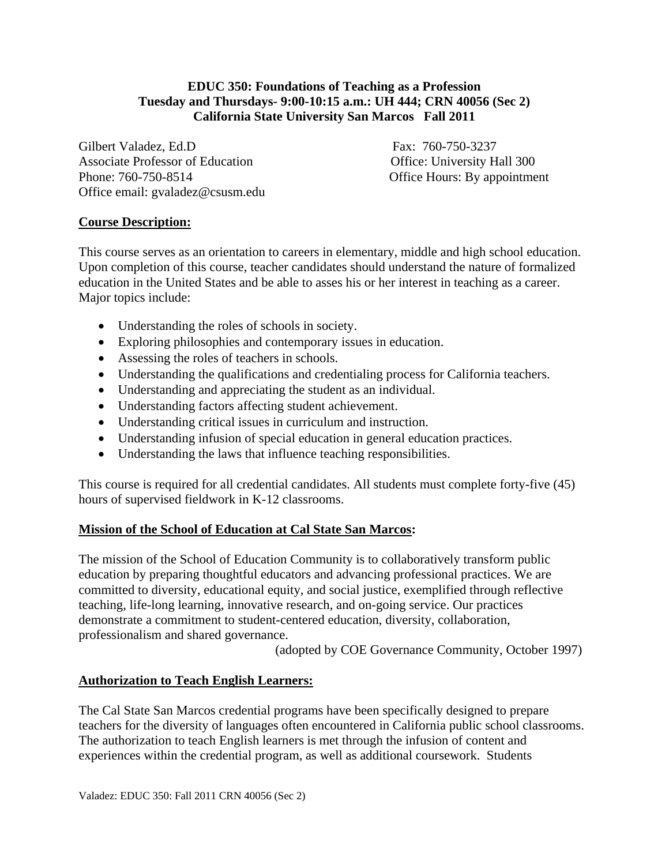## **EDUC 350: Foundations of Teaching as a Profession Tuesday and Thursdays- 9:00-10:15 a.m.: UH 444; CRN 40056 (Sec 2) California State University San Marcos Fall 2011**

Gilbert Valadez, Ed.D Fax: 760-750-3237 Associate Professor of Education **Office: University Hall 300** Phone: 760-750-8514 Office Hours: By appointment Office email: gvaladez@csusm.edu

# **Course Description:**

This course serves as an orientation to careers in elementary, middle and high school education. Upon completion of this course, teacher candidates should understand the nature of formalized education in the United States and be able to asses his or her interest in teaching as a career. Major topics include:

- Understanding the roles of schools in society.
- Exploring philosophies and contemporary issues in education.
- Assessing the roles of teachers in schools.
- Understanding the qualifications and credentialing process for California teachers.
- Understanding and appreciating the student as an individual.
- Understanding factors affecting student achievement.
- Understanding critical issues in curriculum and instruction.
- Understanding infusion of special education in general education practices.
- Understanding the laws that influence teaching responsibilities.

This course is required for all credential candidates. All students must complete forty-five (45) hours of supervised fieldwork in K-12 classrooms.

## **Mission of the School of Education at Cal State San Marcos:**

The mission of the School of Education Community is to collaboratively transform public education by preparing thoughtful educators and advancing professional practices. We are committed to diversity, educational equity, and social justice, exemplified through reflective teaching, life-long learning, innovative research, and on-going service. Our practices demonstrate a commitment to student-centered education, diversity, collaboration, professionalism and shared governance.

(adopted by COE Governance Community, October 1997)

## **Authorization to Teach English Learners:**

The Cal State San Marcos credential programs have been specifically designed to prepare teachers for the diversity of languages often encountered in California public school classrooms. The authorization to teach English learners is met through the infusion of content and experiences within the credential program, as well as additional coursework. Students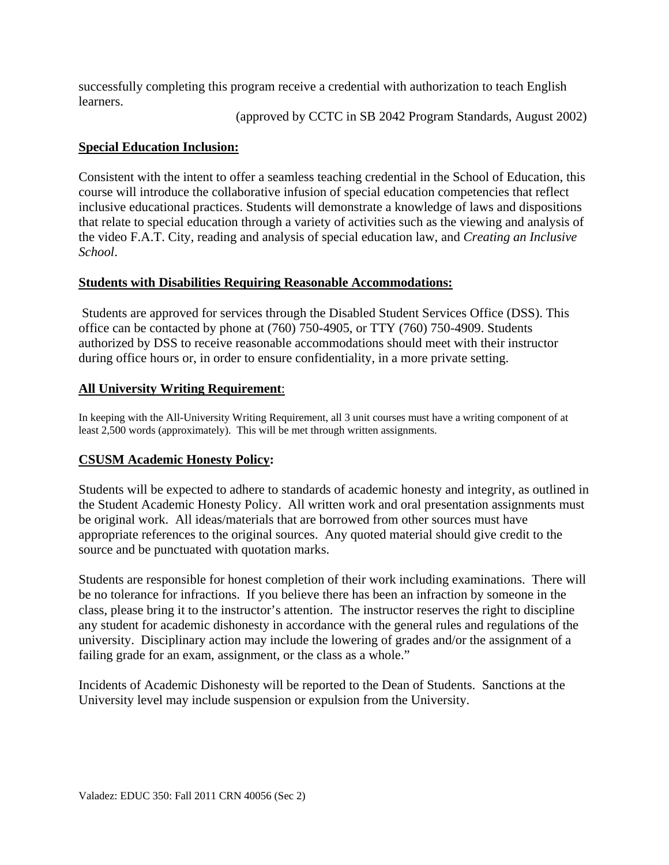successfully completing this program receive a credential with authorization to teach English learners.

(approved by CCTC in SB 2042 Program Standards, August 2002)

## **Special Education Inclusion:**

Consistent with the intent to offer a seamless teaching credential in the School of Education, this course will introduce the collaborative infusion of special education competencies that reflect inclusive educational practices. Students will demonstrate a knowledge of laws and dispositions that relate to special education through a variety of activities such as the viewing and analysis of the video F.A.T. City, reading and analysis of special education law, and *Creating an Inclusive School*.

## **Students with Disabilities Requiring Reasonable Accommodations:**

Students are approved for services through the Disabled Student Services Office (DSS). This office can be contacted by phone at (760) 750-4905, or TTY (760) 750-4909. Students authorized by DSS to receive reasonable accommodations should meet with their instructor during office hours or, in order to ensure confidentiality, in a more private setting.

## **All University Writing Requirement:**

**All University Writing Requirement**: In keeping with the All-University Writing Requirement, all 3 unit courses must have a writing component of at least 2,500 words (approximately). This will be met through written assignments.

## **CSUSM Academic Honesty Policy:**

Students will be expected to adhere to standards of academic honesty and integrity, as outlined in the Student Academic Honesty Policy. All written work and oral presentation assignments must be original work. All ideas/materials that are borrowed from other sources must have appropriate references to the original sources. Any quoted material should give credit to the source and be punctuated with quotation marks.

Students are responsible for honest completion of their work including examinations. There will be no tolerance for infractions. If you believe there has been an infraction by someone in the class, please bring it to the instructor's attention. The instructor reserves the right to discipline any student for academic dishonesty in accordance with the general rules and regulations of the university. Disciplinary action may include the lowering of grades and/or the assignment of a failing grade for an exam, assignment, or the class as a whole."

Incidents of Academic Dishonesty will be reported to the Dean of Students. Sanctions at the University level may include suspension or expulsion from the University.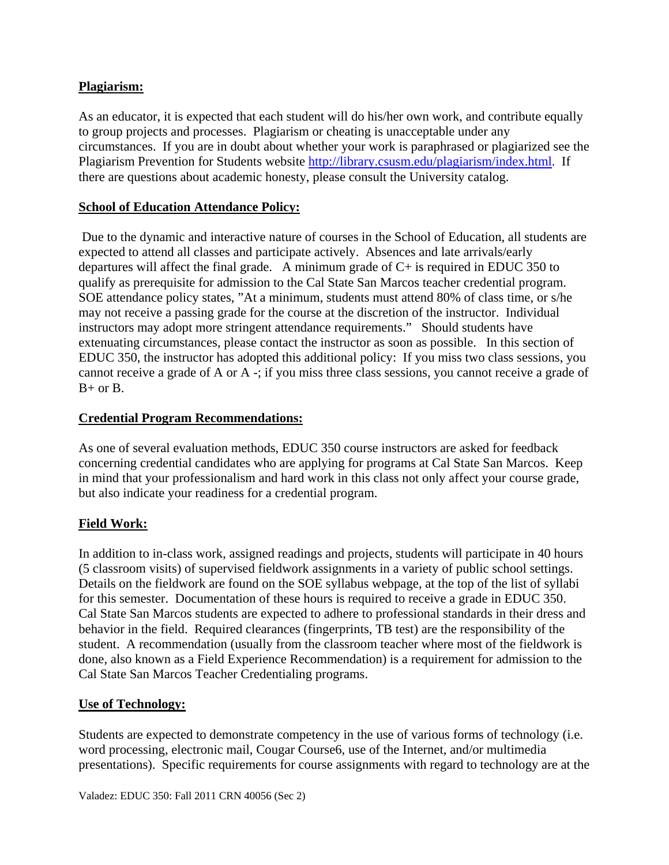## **Plagiarism:**

As an educator, it is expected that each student will do his/her own work, and contribute equally to group projects and processes. Plagiarism or cheating is unacceptable under any circumstances. If you are in doubt about whether your work is paraphrased or plagiarized see the Plagiarism Prevention for Students website http://library.csusm.edu/plagiarism/index.html. If there are questions about academic honesty, please consult the University catalog.

## **School of Education Attendance Policy:**

 Due to the dynamic and interactive nature of courses in the School of Education, all students are expected to attend all classes and participate actively. Absences and late arrivals/early departures will affect the final grade. A minimum grade of  $C+$  is required in EDUC 350 to qualify as prerequisite for admission to the Cal State San Marcos teacher credential program. SOE attendance policy states, "At a minimum, students must attend 80% of class time, or s/he may not receive a passing grade for the course at the discretion of the instructor. Individual instructors may adopt more stringent attendance requirements." Should students have extenuating circumstances, please contact the instructor as soon as possible. In this section of EDUC 350, the instructor has adopted this additional policy: If you miss two class sessions, you cannot receive a grade of A or A -; if you miss three class sessions, you cannot receive a grade of  $B+$  or  $B$ .

# **Credential Program Recommendations:**

As one of several evaluation methods, EDUC 350 course instructors are asked for feedback concerning credential candidates who are applying for programs at Cal State San Marcos. Keep in mind that your professionalism and hard work in this class not only affect your course grade, but also indicate your readiness for a credential program.

# **Field Work:**

In addition to in-class work, assigned readings and projects, students will participate in 40 hours (5 classroom visits) of supervised fieldwork assignments in a variety of public school settings. Details on the fieldwork are found on the SOE syllabus webpage, at the top of the list of syllabi for this semester. Documentation of these hours is required to receive a grade in EDUC 350. Cal State San Marcos students are expected to adhere to professional standards in their dress and behavior in the field. Required clearances (fingerprints, TB test) are the responsibility of the student. A recommendation (usually from the classroom teacher where most of the fieldwork is done, also known as a Field Experience Recommendation) is a requirement for admission to the Cal State San Marcos Teacher Credentialing programs.

## **Use of Technology:**

Students are expected to demonstrate competency in the use of various forms of technology (i.e. word processing, electronic mail, Cougar Course6, use of the Internet, and/or multimedia presentations). Specific requirements for course assignments with regard to technology are at the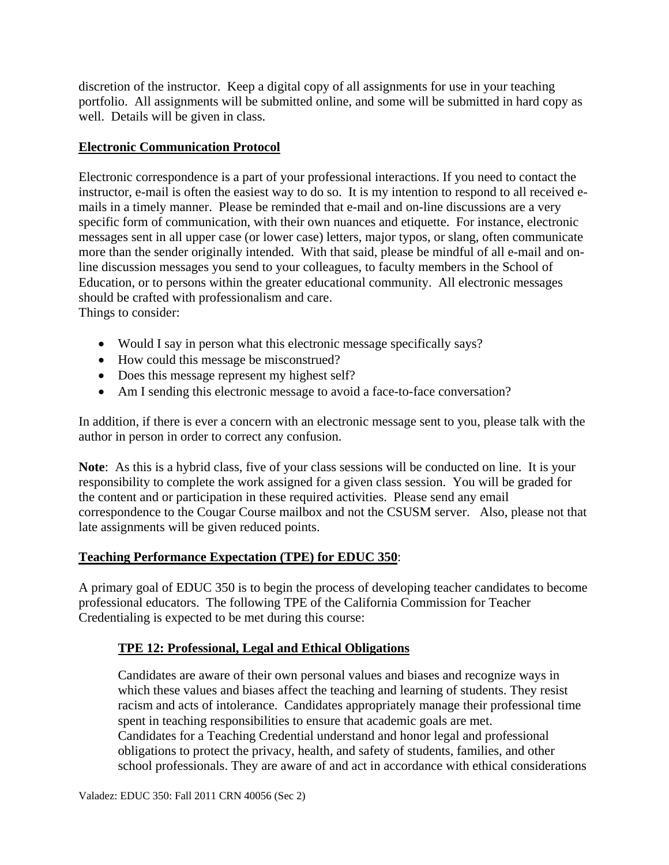discretion of the instructor. Keep a digital copy of all assignments for use in your teaching portfolio. All assignments will be submitted online, and some will be submitted in hard copy as well. Details will be given in class.

## **Electronic Communication Protocol**

Electronic correspondence is a part of your professional interactions. If you need to contact the instructor, e-mail is often the easiest way to do so. It is my intention to respond to all received emails in a timely manner. Please be reminded that e-mail and on-line discussions are a very specific form of communication, with their own nuances and etiquette. For instance, electronic messages sent in all upper case (or lower case) letters, major typos, or slang, often communicate more than the sender originally intended. With that said, please be mindful of all e-mail and online discussion messages you send to your colleagues, to faculty members in the School of Education, or to persons within the greater educational community. All electronic messages should be crafted with professionalism and care.

Things to consider:

- Would I say in person what this electronic message specifically says?
- How could this message be misconstrued?
- Does this message represent my highest self?
- Am I sending this electronic message to avoid a face-to-face conversation?

In addition, if there is ever a concern with an electronic message sent to you, please talk with the author in person in order to correct any confusion.

**Note**: As this is a hybrid class, five of your class sessions will be conducted on line. It is your responsibility to complete the work assigned for a given class session. You will be graded for the content and or participation in these required activities. Please send any email correspondence to the Cougar Course mailbox and not the CSUSM server. Also, please not that late assignments will be given reduced points.

## **Teaching Performance Expectation (TPE) for EDUC 350**:

A primary goal of EDUC 350 is to begin the process of developing teacher candidates to become professional educators. The following TPE of the California Commission for Teacher Credentialing is expected to be met during this course:

## **TPE 12: Professional, Legal and Ethical Obligations**

Candidates are aware of their own personal values and biases and recognize ways in which these values and biases affect the teaching and learning of students. They resist racism and acts of intolerance. Candidates appropriately manage their professional time spent in teaching responsibilities to ensure that academic goals are met. Candidates for a Teaching Credential understand and honor legal and professional obligations to protect the privacy, health, and safety of students, families, and other school professionals. They are aware of and act in accordance with ethical considerations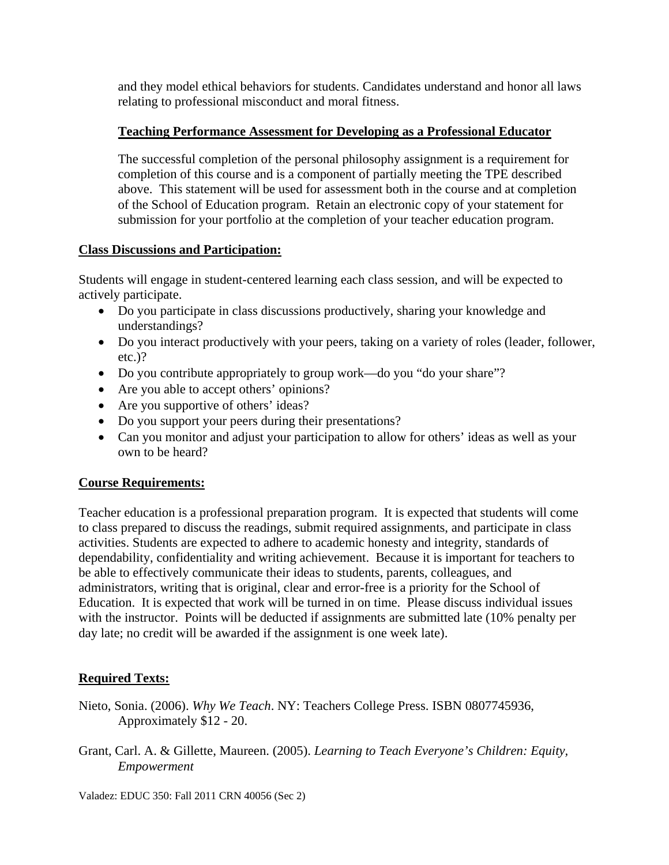and they model ethical behaviors for students. Candidates understand and honor all laws relating to professional misconduct and moral fitness.

## **Teaching Performance Assessment for Developing as a Professional Educator**

The successful completion of the personal philosophy assignment is a requirement for completion of this course and is a component of partially meeting the TPE described above. This statement will be used for assessment both in the course and at completion of the School of Education program. Retain an electronic copy of your statement for submission for your portfolio at the completion of your teacher education program.

## **Class Discussions and Participation:**

Students will engage in student-centered learning each class session, and will be expected to actively participate.

- Do you participate in class discussions productively, sharing your knowledge and understandings?
- Do you interact productively with your peers, taking on a variety of roles (leader, follower, etc.)?
- Do you contribute appropriately to group work—do you "do your share"?
- Are you able to accept others' opinions?
- Are you supportive of others' ideas?
- Do you support your peers during their presentations?
- Can you monitor and adjust your participation to allow for others' ideas as well as your own to be heard?

## **Course Requirements:**

Teacher education is a professional preparation program. It is expected that students will come to class prepared to discuss the readings, submit required assignments, and participate in class activities. Students are expected to adhere to academic honesty and integrity, standards of dependability, confidentiality and writing achievement. Because it is important for teachers to be able to effectively communicate their ideas to students, parents, colleagues, and administrators, writing that is original, clear and error-free is a priority for the School of Education. It is expected that work will be turned in on time. Please discuss individual issues with the instructor. Points will be deducted if assignments are submitted late (10% penalty per day late; no credit will be awarded if the assignment is one week late).

# **Required Texts:**

- Nieto, Sonia. (2006). *Why We Teach*. NY: Teachers College Press. ISBN 0807745936, Approximately \$12 - 20.
- Grant, Carl. A. & Gillette, Maureen. (2005). *Learning to Teach Everyone's Children: Equity, Empowerment*

Valadez: EDUC 350: Fall 2011 CRN 40056 (Sec 2)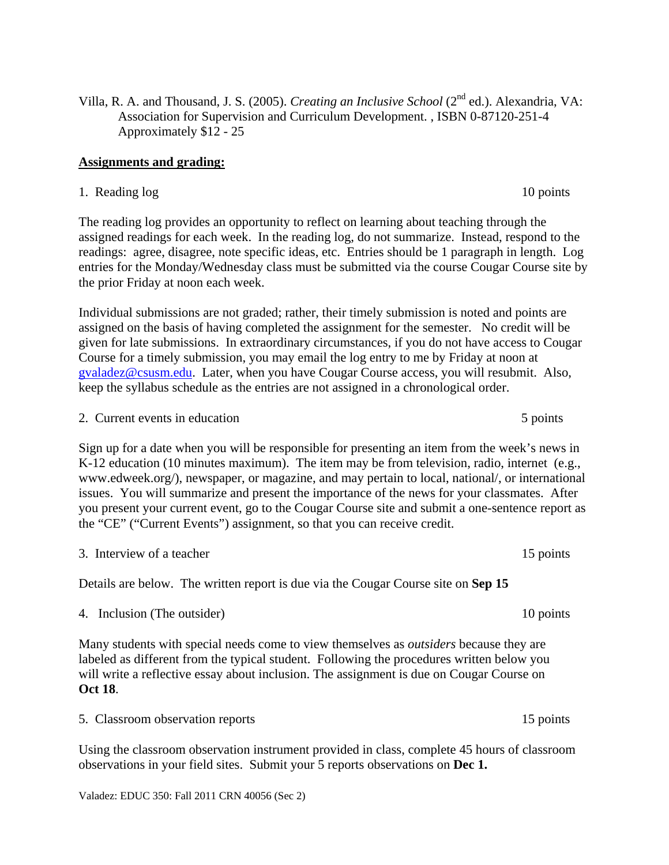Villa, R. A. and Thousand, J. S. (2005). *Creating an Inclusive School* (2nd ed.). Alexandria, VA: Association for Supervision and Curriculum Development. , ISBN 0-87120-251-4 Approximately \$12 - 25

### **Assignments and grading:**

1. Reading log 10 points

The reading log provides an opportunity to reflect on learning about teaching through the assigned readings for each week. In the reading log, do not summarize. Instead, respond to the readings: agree, disagree, note specific ideas, etc. Entries should be 1 paragraph in length. Log entries for the Monday/Wednesday class must be submitted via the course Cougar Course site by the prior Friday at noon each week.

Individual submissions are not graded; rather, their timely submission is noted and points are assigned on the basis of having completed the assignment for the semester. No credit will be given for late submissions. In extraordinary circumstances, if you do not have access to Cougar Course for a timely submission, you may email the log entry to me by Friday at noon at gvaladez@csusm.edu. Later, when you have Cougar Course access, you will resubmit. Also, keep the syllabus schedule as the entries are not assigned in a chronological order.

2. Current events in education 5 points 5 points

Sign up for a date when you will be responsible for presenting an item from the week's news in K-12 education (10 minutes maximum). The item may be from television, radio, internet (e.g., www.edweek.org/), newspaper, or magazine, and may pertain to local, national/, or international issues. You will summarize and present the importance of the news for your classmates. After you present your current event, go to the Cougar Course site and submit a one-sentence report as the "CE" ("Current Events") assignment, so that you can receive credit.

3. Interview of a teacher 15 points of  $\alpha$  teacher 15 points

Details are below. The written report is due via the Cougar Course site on **Sep 15** 

4. Inclusion (The outsider) 10 points

Many students with special needs come to view themselves as *outsiders* because they are labeled as different from the typical student. Following the procedures written below you will write a reflective essay about inclusion. The assignment is due on Cougar Course on **Oct 18**.

5. Classroom observation reports 15 points

Using the classroom observation instrument provided in class, complete 45 hours of classroom observations in your field sites. Submit your 5 reports observations on **Dec 1.** 

Valadez: EDUC 350: Fall 2011 CRN 40056 (Sec 2)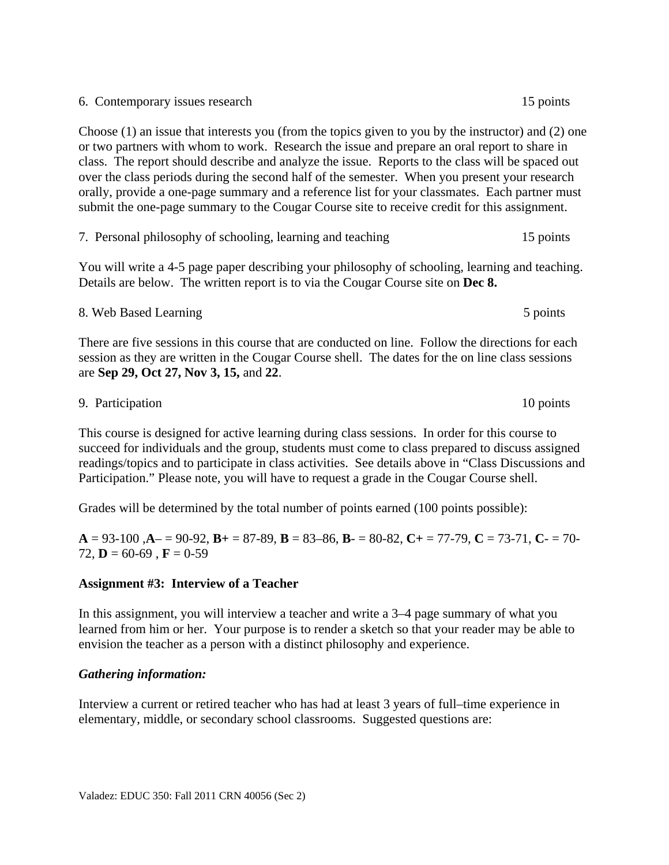6. Contemporary issues research 15 points

Choose (1) an issue that interests you (from the topics given to you by the instructor) and (2) one or two partners with whom to work. Research the issue and prepare an oral report to share in class. The report should describe and analyze the issue. Reports to the class will be spaced out over the class periods during the second half of the semester. When you present your research orally, provide a one-page summary and a reference list for your classmates. Each partner must submit the one-page summary to the Cougar Course site to receive credit for this assignment.

|  |  |  |  | 7. Personal philosophy of schooling, learning and teaching |  | 15 points |
|--|--|--|--|------------------------------------------------------------|--|-----------|
|--|--|--|--|------------------------------------------------------------|--|-----------|

You will write a 4-5 page paper describing your philosophy of schooling, learning and teaching. Details are below. The written report is to via the Cougar Course site on **Dec 8.** 

8. Web Based Learning 5 points 5 points 5 points 5 points There are five sessions in this course that are conducted on line. Follow the directions for each session as they are written in the Cougar Course shell. The dates for the on line class sessions are **Sep 29, Oct 27, Nov 3, 15,** and **22**.

#### 9. Participation 10 points

This course is designed for active learning during class sessions. In order for this course to succeed for individuals and the group, students must come to class prepared to discuss assigned readings/topics and to participate in class activities. See details above in "Class Discussions and Participation." Please note, you will have to request a grade in the Cougar Course shell.

Grades will be determined by the total number of points earned (100 points possible):

**A** = 93-100 ,**A**– = 90-92, **B+** = 87-89, **B** = 83–86, **B**- = 80-82, **C+** = 77-79, **C** = 73-71, **C**- = 70- 72,  $D = 60-69$ ,  $F = 0-59$ 

## **Assignment #3: Interview of a Teacher**

In this assignment, you will interview a teacher and write a 3–4 page summary of what you learned from him or her. Your purpose is to render a sketch so that your reader may be able to envision the teacher as a person with a distinct philosophy and experience.

## *Gathering information:*

Interview a current or retired teacher who has had at least 3 years of full–time experience in elementary, middle, or secondary school classrooms. Suggested questions are:

5 points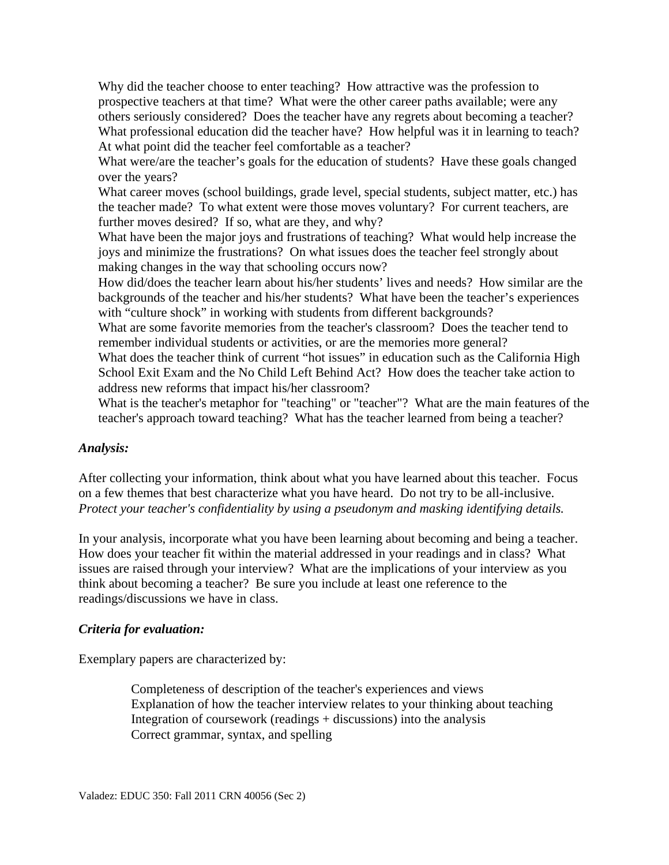What professional education did the teacher have? How helpful was it in learning to teach? Why did the teacher choose to enter teaching? How attractive was the profession to prospective teachers at that time? What were the other career paths available; were any others seriously considered? Does the teacher have any regrets about becoming a teacher? At what point did the teacher feel comfortable as a teacher?

What were/are the teacher's goals for the education of students? Have these goals changed over the years?

What career moves (school buildings, grade level, special students, subject matter, etc.) has the teacher made? To what extent were those moves voluntary? For current teachers, are further moves desired? If so, what are they, and why?

What have been the major joys and frustrations of teaching? What would help increase the joys and minimize the frustrations? On what issues does the teacher feel strongly about making changes in the way that schooling occurs now?

How did/does the teacher learn about his/her students' lives and needs? How similar are the backgrounds of the teacher and his/her students? What have been the teacher's experiences with "culture shock" in working with students from different backgrounds?

What are some favorite memories from the teacher's classroom? Does the teacher tend to remember individual students or activities, or are the memories more general?

What does the teacher think of current "hot issues" in education such as the California High School Exit Exam and the No Child Left Behind Act? How does the teacher take action to address new reforms that impact his/her classroom?

What is the teacher's metaphor for "teaching" or "teacher"? What are the main features of the teacher's approach toward teaching? What has the teacher learned from being a teacher?

#### *Analysis:*

After collecting your information, think about what you have learned about this teacher. Focus on a few themes that best characterize what you have heard. Do not try to be all-inclusive. *Protect your teacher's confidentiality by using a pseudonym and masking identifying details.* 

In your analysis, incorporate what you have been learning about becoming and being a teacher. How does your teacher fit within the material addressed in your readings and in class? What issues are raised through your interview? What are the implications of your interview as you think about becoming a teacher? Be sure you include at least one reference to the readings/discussions we have in class.

#### *Criteria for evaluation:*

Exemplary papers are characterized by:

Completeness of description of the teacher's experiences and views Explanation of how the teacher interview relates to your thinking about teaching Integration of coursework (readings + discussions) into the analysis Correct grammar, syntax, and spelling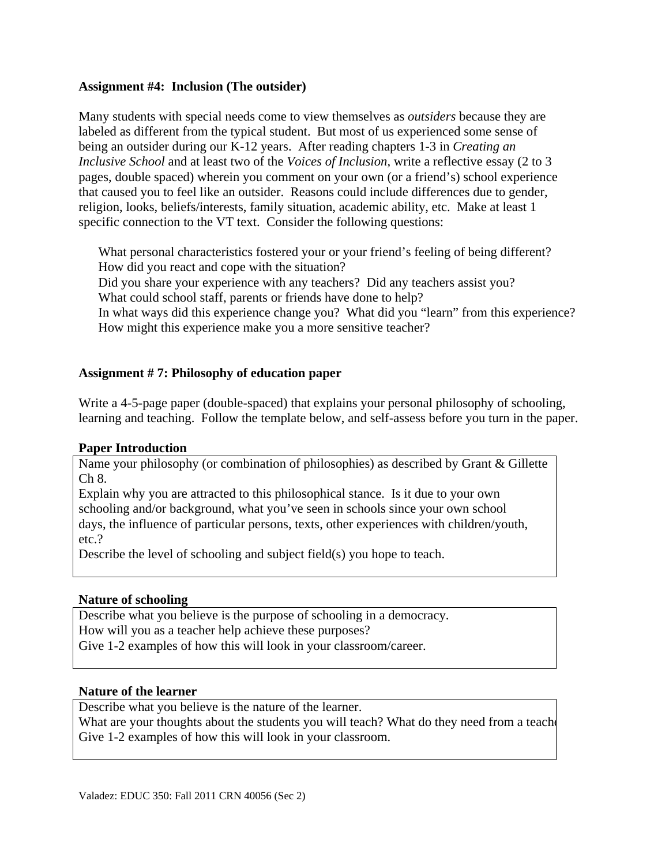#### **Assignment #4: Inclusion (The outsider)**

Many students with special needs come to view themselves as *outsiders* because they are labeled as different from the typical student. But most of us experienced some sense of being an outsider during our K-12 years. After reading chapters 1-3 in *Creating an Inclusive School* and at least two of the *Voices of Inclusion*, write a reflective essay (2 to 3 pages, double spaced) wherein you comment on your own (or a friend's) school experience that caused you to feel like an outsider. Reasons could include differences due to gender, religion, looks, beliefs/interests, family situation, academic ability, etc. Make at least 1 specific connection to the VT text. Consider the following questions:

What personal characteristics fostered your or your friend's feeling of being different?<br>How did you react and cope with the situation?<br>Did you share your experience with any teachers? Did any teachers assist you? How did you react and cope with the situation?

What could school staff, parents or friends have done to help?

In what ways did this experience change you? What did you "learn" from this experience? How might this experience make you a more sensitive teacher?

## **Assignment # 7: Philosophy of education paper**

Write a 4-5-page paper (double-spaced) that explains your personal philosophy of schooling, learning and teaching. Follow the template below, and self-assess before you turn in the paper.

#### **Paper Introduction**

Name your philosophy (or combination of philosophies) as described by Grant & Gillette Ch 8.

Explain why you are attracted to this philosophical stance. Is it due to your own schooling and/or background, what you've seen in schools since your own school days, the influence of particular persons, texts, other experiences with children/youth, etc.?

Describe the level of schooling and subject field(s) you hope to teach.

#### **Nature of schooling**

Describe what you believe is the purpose of schooling in a democracy. How will you as a teacher help achieve these purposes? Give 1-2 examples of how this will look in your classroom/career.

#### **Nature of the learner**

Describe what you believe is the nature of the learner.

What are your thoughts about the students you will teach? What do they need from a teach Give 1-2 examples of how this will look in your classroom.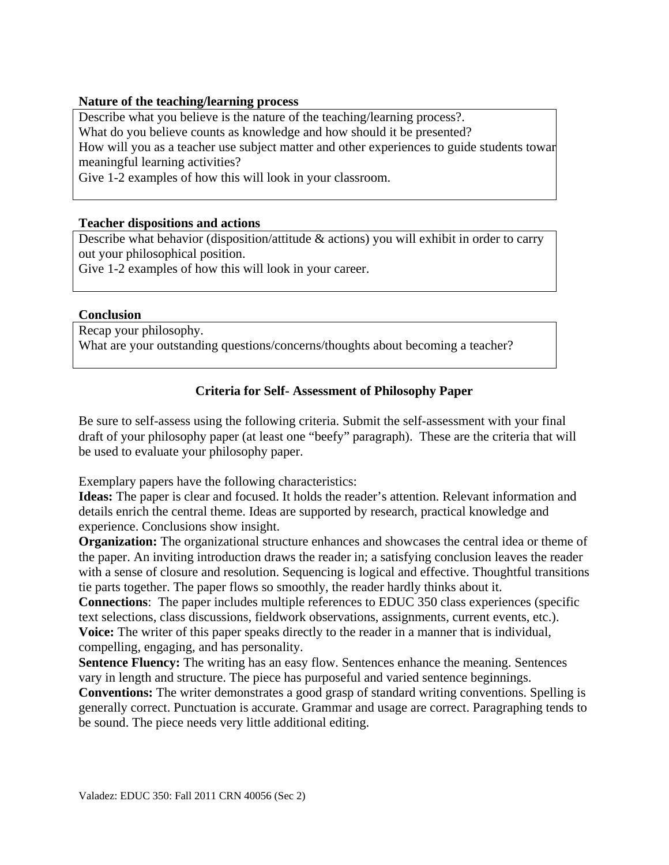#### **Nature of the teaching/learning process**

 meaningful learning activities? Describe what you believe is the nature of the teaching/learning process?. What do you believe counts as knowledge and how should it be presented? How will you as a teacher use subject matter and other experiences to guide students towar

Give 1-2 examples of how this will look in your classroom.

### **Teacher dispositions and actions**

Describe what behavior (disposition/attitude & actions) you will exhibit in order to carry out your philosophical position.

Give 1-2 examples of how this will look in your career.

#### **Conclusion**

Recap your philosophy. What are your outstanding questions/concerns/thoughts about becoming a teacher?

## **Criteria for Self- Assessment of Philosophy Paper**

Be sure to self-assess using the following criteria. Submit the self-assessment with your final draft of your philosophy paper (at least one "beefy" paragraph). These are the criteria that will be used to evaluate your philosophy paper.

Exemplary papers have the following characteristics:

**Ideas:** The paper is clear and focused. It holds the reader's attention. Relevant information and details enrich the central theme. Ideas are supported by research, practical knowledge and experience. Conclusions show insight.

**Organization:** The organizational structure enhances and showcases the central idea or theme of the paper. An inviting introduction draws the reader in; a satisfying conclusion leaves the reader with a sense of closure and resolution. Sequencing is logical and effective. Thoughtful transitions tie parts together. The paper flows so smoothly, the reader hardly thinks about it.

**Connections**: The paper includes multiple references to EDUC 350 class experiences (specific text selections, class discussions, fieldwork observations, assignments, current events, etc.). **Voice:** The writer of this paper speaks directly to the reader in a manner that is individual, compelling, engaging, and has personality.

**Sentence Fluency:** The writing has an easy flow. Sentences enhance the meaning. Sentences vary in length and structure. The piece has purposeful and varied sentence beginnings.

**Conventions:** The writer demonstrates a good grasp of standard writing conventions. Spelling is generally correct. Punctuation is accurate. Grammar and usage are correct. Paragraphing tends to be sound. The piece needs very little additional editing.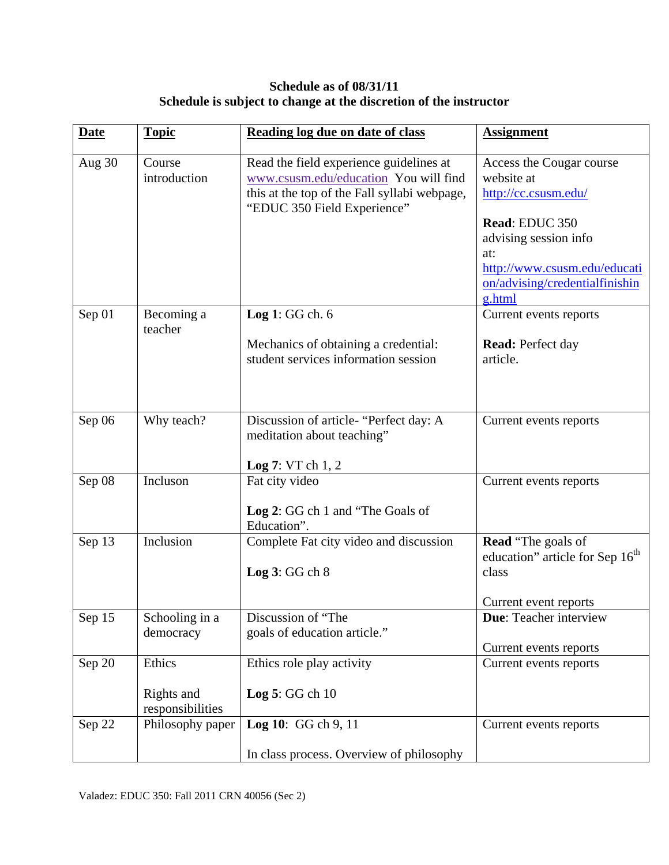# **Schedule as of 08/31/11 Schedule is subject to change at the discretion of the instructor**

| <b>Date</b> | <b>Topic</b>                   | Reading log due on date of class                                                                                                                                | <b>Assignment</b>                                                                                          |
|-------------|--------------------------------|-----------------------------------------------------------------------------------------------------------------------------------------------------------------|------------------------------------------------------------------------------------------------------------|
| Aug 30      | Course<br>introduction         | Read the field experience guidelines at<br>www.csusm.edu/education You will find<br>this at the top of the Fall syllabi webpage,<br>"EDUC 350 Field Experience" | Access the Cougar course<br>website at<br>http://cc.csusm.edu/<br>Read: EDUC 350<br>advising session info  |
|             |                                |                                                                                                                                                                 | at:<br>http://www.csusm.edu/educati<br>on/advising/credentialfinishin<br>g.html                            |
| Sep 01      | Becoming a<br>teacher          | Log 1: GG ch. 6                                                                                                                                                 | Current events reports                                                                                     |
|             |                                | Mechanics of obtaining a credential:<br>student services information session                                                                                    | <b>Read:</b> Perfect day<br>article.                                                                       |
| Sep 06      | Why teach?                     | Discussion of article-"Perfect day: A<br>meditation about teaching"<br>Log 7: VTch 1, 2                                                                         | Current events reports                                                                                     |
| Sep 08      | Incluson                       | Fat city video<br>Log 2: GG ch 1 and "The Goals of<br>Education".                                                                                               | Current events reports                                                                                     |
| Sep 13      | Inclusion                      | Complete Fat city video and discussion<br>Log 3: GG ch 8                                                                                                        | <b>Read</b> "The goals of<br>education" article for Sep 16 <sup>th</sup><br>class<br>Current event reports |
| Sep 15      | Schooling in a<br>democracy    | Discussion of "The<br>goals of education article."                                                                                                              | Due: Teacher interview                                                                                     |
| Sep 20      | Ethics                         | Ethics role play activity                                                                                                                                       | Current events reports<br>Current events reports                                                           |
|             | Rights and<br>responsibilities | Log $5:GG$ ch $10$                                                                                                                                              |                                                                                                            |
| Sep 22      | Philosophy paper               | Log 10: GG ch 9, 11                                                                                                                                             | Current events reports                                                                                     |
|             |                                | In class process. Overview of philosophy                                                                                                                        |                                                                                                            |